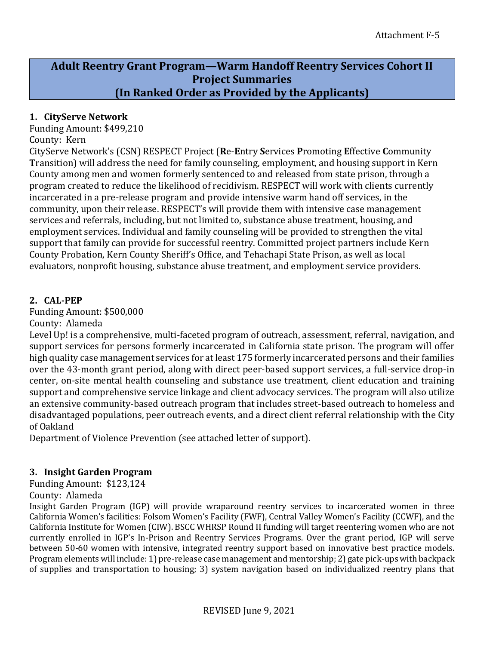# **Adult Reentry Grant Program—Warm Handoff Reentry Services Cohort II Project Summaries (In Ranked Order as Provided by the Applicants)**

### **1. CityServe Network**

Funding Amount: \$499,210 County: Kern

CityServe Network's (CSN) RESPECT Project (**R**e-**E**ntry **S**ervices **P**romoting **E**ffective **C**ommunity **T**ransition) will address the need for family counseling, employment, and housing support in Kern County among men and women formerly sentenced to and released from state prison, through a program created to reduce the likelihood of recidivism. RESPECT will work with clients currently incarcerated in a pre-release program and provide intensive warm hand off services, in the community, upon their release. RESPECT's will provide them with intensive case management services and referrals, including, but not limited to, substance abuse treatment, housing, and employment services. Individual and family counseling will be provided to strengthen the vital support that family can provide for successful reentry. Committed project partners include Kern County Probation, Kern County Sheriff's Office, and Tehachapi State Prison, as well as local evaluators, nonprofit housing, substance abuse treatment, and employment service providers.

# **2. CAL-PEP**

Funding Amount: \$500,000

County: Alameda

Level Up! is a comprehensive, multi-faceted program of outreach, assessment, referral, navigation, and support services for persons formerly incarcerated in California state prison. The program will offer high quality case management services for at least 175 formerly incarcerated persons and their families over the 43-month grant period, along with direct peer-based support services, a full-service drop-in center, on-site mental health counseling and substance use treatment, client education and training support and comprehensive service linkage and client advocacy services. The program will also utilize an extensive community-based outreach program that includes street-based outreach to homeless and disadvantaged populations, peer outreach events, and a direct client referral relationship with the City of Oakland

Department of Violence Prevention (see attached letter of support).

### **3. Insight Garden Program**

Funding Amount: \$123,124

### County: Alameda

Insight Garden Program (IGP) will provide wraparound reentry services to incarcerated women in three California Women's facilities: Folsom Women's Facility (FWF), Central Valley Women's Facility (CCWF), and the California Institute for Women (CIW). BSCC WHRSP Round II funding will target reentering women who are not currently enrolled in IGP's In-Prison and Reentry Services Programs. Over the grant period, IGP will serve between 50-60 women with intensive, integrated reentry support based on innovative best practice models. Program elements will include: 1) pre-release case management and mentorship; 2) gate pick-ups with backpack of supplies and transportation to housing; 3) system navigation based on individualized reentry plans that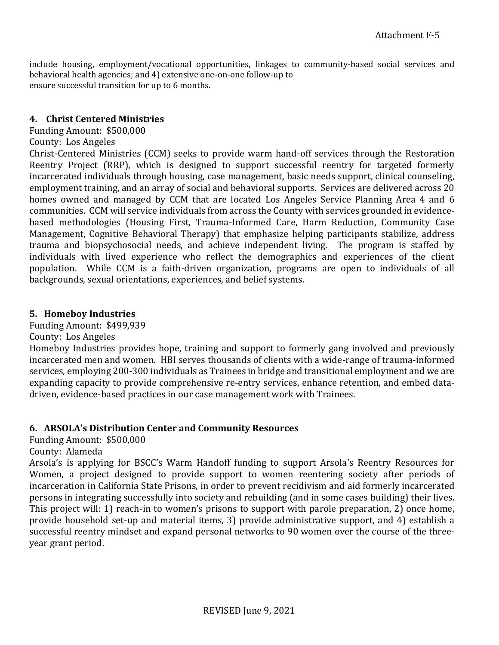include housing, employment/vocational opportunities, linkages to community-based social services and behavioral health agencies; and 4) extensive one-on-one follow-up to ensure successful transition for up to 6 months.

#### **4. Christ Centered Ministries**

### Funding Amount: \$500,000

#### County: Los Angeles

Christ-Centered Ministries (CCM) seeks to provide warm hand-off services through the Restoration Reentry Project (RRP), which is designed to support successful reentry for targeted formerly incarcerated individuals through housing, case management, basic needs support, clinical counseling, employment training, and an array of social and behavioral supports. Services are delivered across 20 homes owned and managed by CCM that are located Los Angeles Service Planning Area 4 and 6 communities. CCM will service individuals from across the County with services grounded in evidencebased methodologies (Housing First, Trauma-Informed Care, Harm Reduction, Community Case Management, Cognitive Behavioral Therapy) that emphasize helping participants stabilize, address trauma and biopsychosocial needs, and achieve independent living. The program is staffed by individuals with lived experience who reflect the demographics and experiences of the client population. While CCM is a faith-driven organization, programs are open to individuals of all backgrounds, sexual orientations, experiences, and belief systems.

### **5. Homeboy Industries**

Funding Amount: \$499,939

County: Los Angeles

Homeboy Industries provides hope, training and support to formerly gang involved and previously incarcerated men and women. HBI serves thousands of clients with a wide-range of trauma-informed services, employing 200-300 individuals as Trainees in bridge and transitional employment and we are expanding capacity to provide comprehensive re-entry services, enhance retention, and embed datadriven, evidence-based practices in our case management work with Trainees.

### **6. ARSOLA's Distribution Center and Community Resources**

Funding Amount: \$500,000

County: Alameda

Arsola's is applying for BSCC's Warm Handoff funding to support Arsola's Reentry Resources for Women, a project designed to provide support to women reentering society after periods of incarceration in California State Prisons, in order to prevent recidivism and aid formerly incarcerated persons in integrating successfully into society and rebuilding (and in some cases building) their lives. This project will: 1) reach-in to women's prisons to support with parole preparation, 2) once home, provide household set-up and material items, 3) provide administrative support, and 4) establish a successful reentry mindset and expand personal networks to 90 women over the course of the threeyear grant period.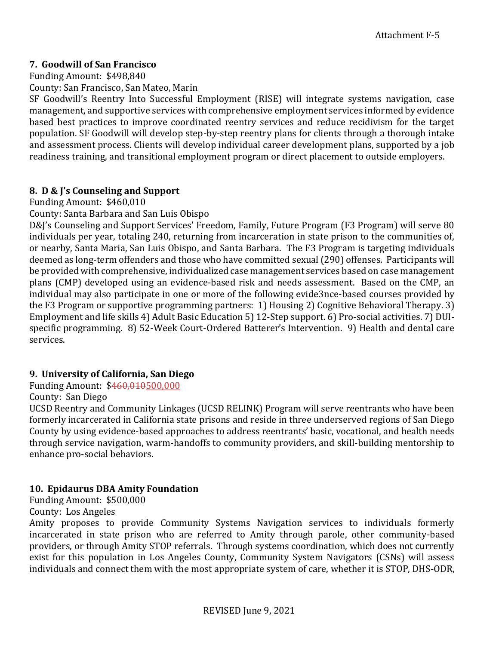# **7. Goodwill of San Francisco**

Funding Amount: \$498,840

County: San Francisco, San Mateo, Marin

SF Goodwill's Reentry Into Successful Employment (RISE) will integrate systems navigation, case management, and supportive services with comprehensive employment services informed by evidence based best practices to improve coordinated reentry services and reduce recidivism for the target population. SF Goodwill will develop step-by-step reentry plans for clients through a thorough intake and assessment process. Clients will develop individual career development plans, supported by a job readiness training, and transitional employment program or direct placement to outside employers.

# **8. D & J's Counseling and Support**

Funding Amount: \$460,010

County: Santa Barbara and San Luis Obispo

D&J's Counseling and Support Services' Freedom, Family, Future Program (F3 Program) will serve 80 individuals per year, totaling 240, returning from incarceration in state prison to the communities of, or nearby, Santa Maria, San Luis Obispo, and Santa Barbara. The F3 Program is targeting individuals deemed as long-term offenders and those who have committed sexual (290) offenses. Participants will be provided with comprehensive, individualized case management services based on case management plans (CMP) developed using an evidence-based risk and needs assessment. Based on the CMP, an individual may also participate in one or more of the following evide3nce-based courses provided by the F3 Program or supportive programming partners: 1) Housing 2) Cognitive Behavioral Therapy. 3) Employment and life skills 4) Adult Basic Education 5) 12-Step support. 6) Pro-social activities. 7) DUIspecific programming. 8) 52-Week Court-Ordered Batterer's Intervention. 9) Health and dental care services.

# **9. University of California, San Diego**

Funding Amount: \$460,010500,000

County: San Diego

UCSD Reentry and Community Linkages (UCSD RELINK) Program will serve reentrants who have been formerly incarcerated in California state prisons and reside in three underserved regions of San Diego County by using evidence-based approaches to address reentrants' basic, vocational, and health needs through service navigation, warm-handoffs to community providers, and skill-building mentorship to enhance pro-social behaviors.

# **10. Epidaurus DBA Amity Foundation**

Funding Amount: \$500,000

County: Los Angeles

Amity proposes to provide Community Systems Navigation services to individuals formerly incarcerated in state prison who are referred to Amity through parole, other community-based providers, or through Amity STOP referrals. Through systems coordination, which does not currently exist for this population in Los Angeles County, Community System Navigators (CSNs) will assess individuals and connect them with the most appropriate system of care, whether it is STOP, DHS-ODR,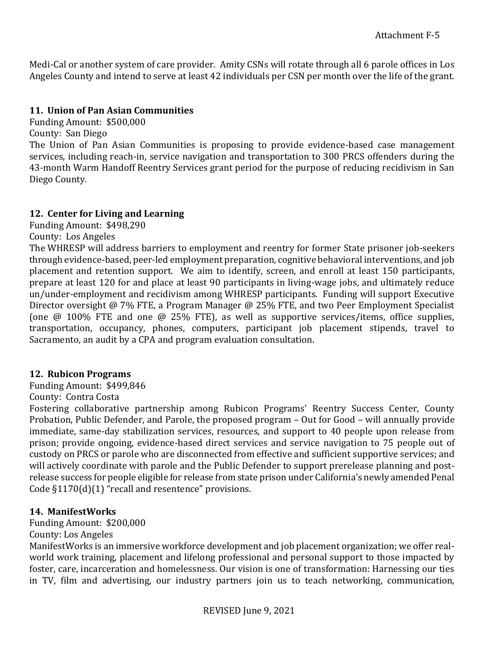Medi-Cal or another system of care provider. Amity CSNs will rotate through all 6 parole offices in Los Angeles County and intend to serve at least 42 individuals per CSN per month over the life of the grant.

### **11. Union of Pan Asian Communities**

Funding Amount: \$500,000

County: San Diego

The Union of Pan Asian Communities is proposing to provide evidence-based case management services, including reach-in, service navigation and transportation to 300 PRCS offenders during the 43-month Warm Handoff Reentry Services grant period for the purpose of reducing recidivism in San Diego County.

# **12. Center for Living and Learning**

Funding Amount: \$498,290

County: Los Angeles

The WHRESP will address barriers to employment and reentry for former State prisoner job-seekers through evidence-based, peer-led employment preparation, cognitive behavioral interventions, and job placement and retention support. We aim to identify, screen, and enroll at least 150 participants, prepare at least 120 for and place at least 90 participants in living-wage jobs, and ultimately reduce un/under-employment and recidivism among WHRESP participants. Funding will support Executive Director oversight @ 7% FTE, a Program Manager @ 25% FTE, and two Peer Employment Specialist (one @ 100% FTE and one @ 25% FTE), as well as supportive services/items, office supplies, transportation, occupancy, phones, computers, participant job placement stipends, travel to Sacramento, an audit by a CPA and program evaluation consultation.

# **12. Rubicon Programs**

Funding Amount: \$499,846 County: Contra Costa

Fostering collaborative partnership among Rubicon Programs' Reentry Success Center, County Probation, Public Defender, and Parole, the proposed program – Out for Good – will annually provide immediate, same-day stabilization services, resources, and support to 40 people upon release from prison; provide ongoing, evidence-based direct services and service navigation to 75 people out of custody on PRCS or parole who are disconnected from effective and sufficient supportive services; and will actively coordinate with parole and the Public Defender to support prerelease planning and postrelease success for people eligible for release from state prison under California's newly amended Penal Code §1170(d)(1) "recall and resentence" provisions.

# **14. ManifestWorks**

Funding Amount: \$200,000

County: Los Angeles

ManifestWorks is an immersive workforce development and job placement organization; we offer realworld work training, placement and lifelong professional and personal support to those impacted by foster, care, incarceration and homelessness. Our vision is one of transformation: Harnessing our ties in TV, film and advertising, our industry partners join us to teach networking, communication,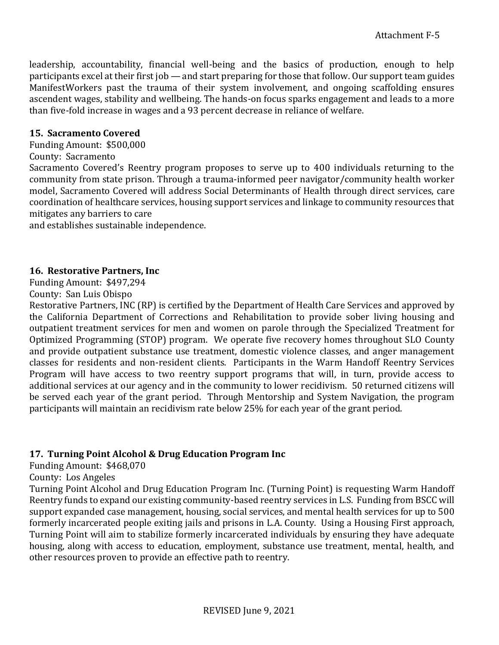leadership, accountability, financial well-being and the basics of production, enough to help participants excel at their first job — and start preparing for those that follow. Our support team guides ManifestWorkers past the trauma of their system involvement, and ongoing scaffolding ensures ascendent wages, stability and wellbeing. The hands-on focus sparks engagement and leads to a more than five-fold increase in wages and a 93 percent decrease in reliance of welfare.

#### **15. Sacramento Covered**

Funding Amount: \$500,000

County: Sacramento

Sacramento Covered's Reentry program proposes to serve up to 400 individuals returning to the community from state prison. Through a trauma-informed peer navigator/community health worker model, Sacramento Covered will address Social Determinants of Health through direct services, care coordination of healthcare services, housing support services and linkage to community resources that mitigates any barriers to care

and establishes sustainable independence.

#### **16. Restorative Partners, Inc**

Funding Amount: \$497,294

County: San Luis Obispo

Restorative Partners, INC (RP) is certified by the Department of Health Care Services and approved by the California Department of Corrections and Rehabilitation to provide sober living housing and outpatient treatment services for men and women on parole through the Specialized Treatment for Optimized Programming (STOP) program. We operate five recovery homes throughout SLO County and provide outpatient substance use treatment, domestic violence classes, and anger management classes for residents and non-resident clients. Participants in the Warm Handoff Reentry Services Program will have access to two reentry support programs that will, in turn, provide access to additional services at our agency and in the community to lower recidivism. 50 returned citizens will be served each year of the grant period. Through Mentorship and System Navigation, the program participants will maintain an recidivism rate below 25% for each year of the grant period.

### **17. Turning Point Alcohol & Drug Education Program Inc**

Funding Amount: \$468,070

County: Los Angeles

Turning Point Alcohol and Drug Education Program Inc. (Turning Point) is requesting Warm Handoff Reentry funds to expand our existing community-based reentry services in L.S. Funding from BSCC will support expanded case management, housing, social services, and mental health services for up to 500 formerly incarcerated people exiting jails and prisons in L.A. County. Using a Housing First approach, Turning Point will aim to stabilize formerly incarcerated individuals by ensuring they have adequate housing, along with access to education, employment, substance use treatment, mental, health, and other resources proven to provide an effective path to reentry.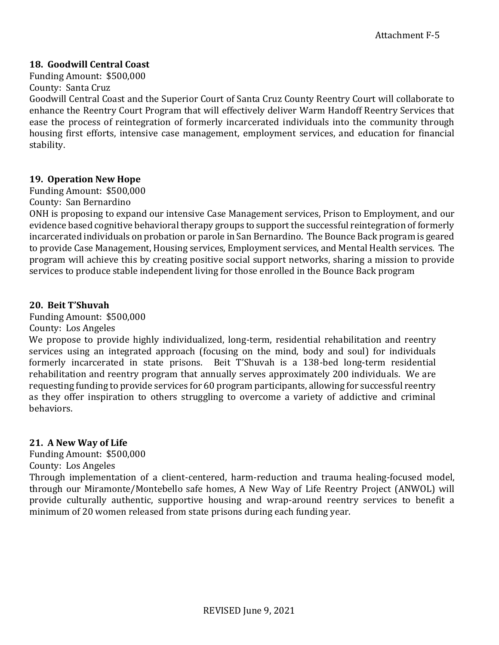### **18. Goodwill Central Coast**

Funding Amount: \$500,000 County: Santa Cruz

Goodwill Central Coast and the Superior Court of Santa Cruz County Reentry Court will collaborate to enhance the Reentry Court Program that will effectively deliver Warm Handoff Reentry Services that ease the process of reintegration of formerly incarcerated individuals into the community through housing first efforts, intensive case management, employment services, and education for financial stability.

# **19. Operation New Hope**

Funding Amount: \$500,000

County: San Bernardino

ONH is proposing to expand our intensive Case Management services, Prison to Employment, and our evidence based cognitive behavioral therapy groups to support the successful reintegration of formerly incarcerated individuals on probation or parole in San Bernardino. The Bounce Back program is geared to provide Case Management, Housing services, Employment services, and Mental Health services. The program will achieve this by creating positive social support networks, sharing a mission to provide services to produce stable independent living for those enrolled in the Bounce Back program

### **20. Beit T'Shuvah**

Funding Amount: \$500,000

County: Los Angeles

We propose to provide highly individualized, long-term, residential rehabilitation and reentry services using an integrated approach (focusing on the mind, body and soul) for individuals formerly incarcerated in state prisons. Beit T'Shuvah is a 138-bed long-term residential rehabilitation and reentry program that annually serves approximately 200 individuals. We are requesting funding to provide services for 60 program participants, allowing for successful reentry as they offer inspiration to others struggling to overcome a variety of addictive and criminal behaviors.

### **21. A New Way of Life**

Funding Amount: \$500,000

County: Los Angeles

Through implementation of a client-centered, harm-reduction and trauma healing-focused model, through our Miramonte/Montebello safe homes, A New Way of Life Reentry Project (ANWOL) will provide culturally authentic, supportive housing and wrap-around reentry services to benefit a minimum of 20 women released from state prisons during each funding year.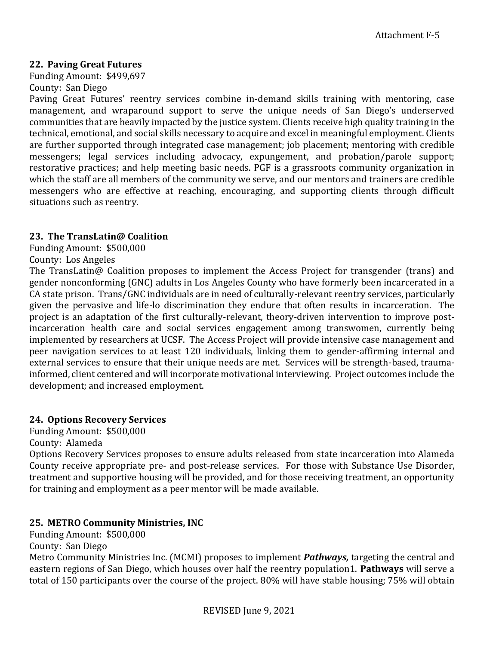### **22. Paving Great Futures**

Funding Amount: \$499,697 County: San Diego

Paving Great Futures' reentry services combine in-demand skills training with mentoring, case management, and wraparound support to serve the unique needs of San Diego's underserved communities that are heavily impacted by the justice system. Clients receive high quality training in the technical, emotional, and social skills necessary to acquire and excel in meaningful employment. Clients are further supported through integrated case management; job placement; mentoring with credible messengers; legal services including advocacy, expungement, and probation/parole support; restorative practices; and help meeting basic needs. PGF is a grassroots community organization in which the staff are all members of the community we serve, and our mentors and trainers are credible messengers who are effective at reaching, encouraging, and supporting clients through difficult situations such as reentry.

#### **23. The TransLatin@ Coalition**

Funding Amount: \$500,000

County: Los Angeles

The TransLatin@ Coalition proposes to implement the Access Project for transgender (trans) and gender nonconforming (GNC) adults in Los Angeles County who have formerly been incarcerated in a CA state prison. Trans/GNC individuals are in need of culturally-relevant reentry services, particularly given the pervasive and life-lo discrimination they endure that often results in incarceration. The project is an adaptation of the first culturally-relevant, theory-driven intervention to improve postincarceration health care and social services engagement among transwomen, currently being implemented by researchers at UCSF. The Access Project will provide intensive case management and peer navigation services to at least 120 individuals, linking them to gender-affirming internal and external services to ensure that their unique needs are met. Services will be strength-based, traumainformed, client centered and will incorporate motivational interviewing. Project outcomes include the development; and increased employment.

### **24. Options Recovery Services**

Funding Amount: \$500,000

County: Alameda

Options Recovery Services proposes to ensure adults released from state incarceration into Alameda County receive appropriate pre- and post-release services. For those with Substance Use Disorder, treatment and supportive housing will be provided, and for those receiving treatment, an opportunity for training and employment as a peer mentor will be made available.

### **25. METRO Community Ministries, INC**

Funding Amount: \$500,000 County: San Diego

Metro Community Ministries Inc. (MCMI) proposes to implement *Pathways,* targeting the central and eastern regions of San Diego, which houses over half the reentry population1. **Pathways** will serve a total of 150 participants over the course of the project. 80% will have stable housing; 75% will obtain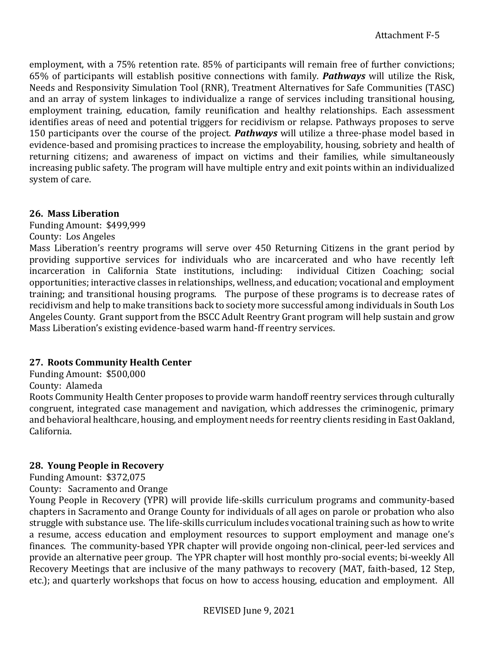employment, with a 75% retention rate. 85% of participants will remain free of further convictions; 65% of participants will establish positive connections with family. *Pathways* will utilize the Risk, Needs and Responsivity Simulation Tool (RNR), Treatment Alternatives for Safe Communities (TASC) and an array of system linkages to individualize a range of services including transitional housing, employment training, education, family reunification and healthy relationships. Each assessment identifies areas of need and potential triggers for recidivism or relapse. Pathways proposes to serve 150 participants over the course of the project. *Pathways* will utilize a three-phase model based in evidence-based and promising practices to increase the employability, housing, sobriety and health of returning citizens; and awareness of impact on victims and their families, while simultaneously increasing public safety. The program will have multiple entry and exit points within an individualized system of care.

# **26. Mass Liberation**

Funding Amount: \$499,999

# County: Los Angeles

Mass Liberation's reentry programs will serve over 450 Returning Citizens in the grant period by providing supportive services for individuals who are incarcerated and who have recently left incarceration in California State institutions, including: individual Citizen Coaching; social opportunities; interactive classes in relationships, wellness, and education; vocational and employment training; and transitional housing programs. The purpose of these programs is to decrease rates of recidivism and help to make transitions back to society more successful among individuals in South Los Angeles County. Grant support from the BSCC Adult Reentry Grant program will help sustain and grow Mass Liberation's existing evidence-based warm hand-ff reentry services.

# **27. Roots Community Health Center**

Funding Amount: \$500,000

County: Alameda

Roots Community Health Center proposes to provide warm handoff reentry services through culturally congruent, integrated case management and navigation, which addresses the criminogenic, primary and behavioral healthcare, housing, and employment needs for reentry clients residing in East Oakland, California.

# **28. Young People in Recovery**

Funding Amount: \$372,075

County: Sacramento and Orange Young People in Recovery (YPR) will provide life-skills curriculum programs and community-based chapters in Sacramento and Orange County for individuals of all ages on parole or probation who also struggle with substance use. The life-skills curriculum includes vocational training such as how to write a resume, access education and employment resources to support employment and manage one's finances. The community-based YPR chapter will provide ongoing non-clinical, peer-led services and provide an alternative peer group. The YPR chapter will host monthly pro-social events; bi-weekly All Recovery Meetings that are inclusive of the many pathways to recovery (MAT, faith-based, 12 Step, etc.); and quarterly workshops that focus on how to access housing, education and employment. All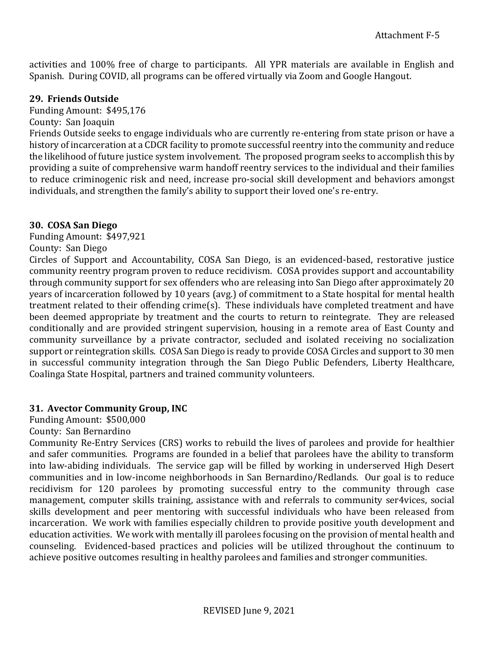activities and 100% free of charge to participants. All YPR materials are available in English and Spanish. During COVID, all programs can be offered virtually via Zoom and Google Hangout.

#### **29. Friends Outside**

Funding Amount: \$495,176

County: San Joaquin

Friends Outside seeks to engage individuals who are currently re-entering from state prison or have a history of incarceration at a CDCR facility to promote successful reentry into the community and reduce the likelihood of future justice system involvement. The proposed program seeks to accomplish this by providing a suite of comprehensive warm handoff reentry services to the individual and their families to reduce criminogenic risk and need, increase pro-social skill development and behaviors amongst individuals, and strengthen the family's ability to support their loved one's re-entry.

### **30. COSA San Diego**

Funding Amount: \$497,921

County: San Diego

Circles of Support and Accountability, COSA San Diego, is an evidenced-based, restorative justice community reentry program proven to reduce recidivism. COSA provides support and accountability through community support for sex offenders who are releasing into San Diego after approximately 20 years of incarceration followed by 10 years (avg.) of commitment to a State hospital for mental health treatment related to their offending crime(s). These individuals have completed treatment and have been deemed appropriate by treatment and the courts to return to reintegrate. They are released conditionally and are provided stringent supervision, housing in a remote area of East County and community surveillance by a private contractor, secluded and isolated receiving no socialization support or reintegration skills. COSA San Diego is ready to provide COSA Circles and support to 30 men in successful community integration through the San Diego Public Defenders, Liberty Healthcare, Coalinga State Hospital, partners and trained community volunteers.

### **31. Avector Community Group, INC**

Funding Amount: \$500,000

County: San Bernardino

Community Re-Entry Services (CRS) works to rebuild the lives of parolees and provide for healthier and safer communities. Programs are founded in a belief that parolees have the ability to transform into law-abiding individuals. The service gap will be filled by working in underserved High Desert communities and in low-income neighborhoods in San Bernardino/Redlands. Our goal is to reduce recidivism for 120 parolees by promoting successful entry to the community through case management, computer skills training, assistance with and referrals to community ser4vices, social skills development and peer mentoring with successful individuals who have been released from incarceration. We work with families especially children to provide positive youth development and education activities. We work with mentally ill parolees focusing on the provision of mental health and counseling. Evidenced-based practices and policies will be utilized throughout the continuum to achieve positive outcomes resulting in healthy parolees and families and stronger communities.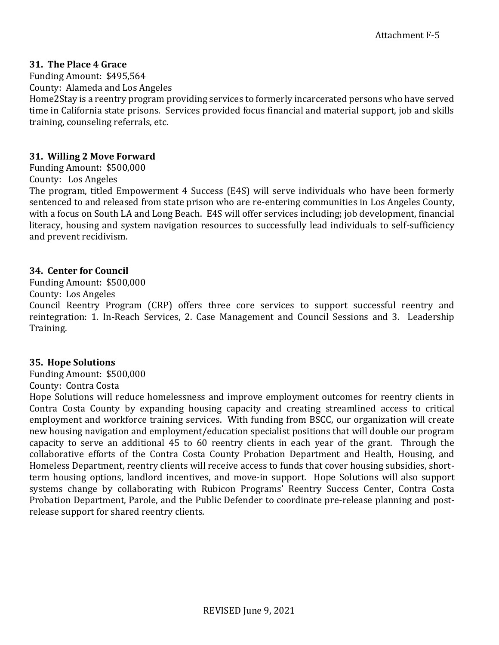#### **31. The Place 4 Grace**

Funding Amount: \$495,564 County: Alameda and Los Angeles

Home2Stay is a reentry program providing services to formerly incarcerated persons who have served time in California state prisons. Services provided focus financial and material support, job and skills training, counseling referrals, etc.

#### **31. Willing 2 Move Forward**

Funding Amount: \$500,000

#### County: Los Angeles

The program, titled Empowerment 4 Success (E4S) will serve individuals who have been formerly sentenced to and released from state prison who are re-entering communities in Los Angeles County, with a focus on South LA and Long Beach. E4S will offer services including; job development, financial literacy, housing and system navigation resources to successfully lead individuals to self-sufficiency and prevent recidivism.

### **34. Center for Council**

Funding Amount: \$500,000

County: Los Angeles

Council Reentry Program (CRP) offers three core services to support successful reentry and reintegration: 1. In-Reach Services, 2. Case Management and Council Sessions and 3. Leadership Training.

### **35. Hope Solutions**

Funding Amount: \$500,000 County: Contra Costa

Hope Solutions will reduce homelessness and improve employment outcomes for reentry clients in Contra Costa County by expanding housing capacity and creating streamlined access to critical employment and workforce training services. With funding from BSCC, our organization will create new housing navigation and employment/education specialist positions that will double our program capacity to serve an additional 45 to 60 reentry clients in each year of the grant. Through the collaborative efforts of the Contra Costa County Probation Department and Health, Housing, and Homeless Department, reentry clients will receive access to funds that cover housing subsidies, shortterm housing options, landlord incentives, and move-in support. Hope Solutions will also support systems change by collaborating with Rubicon Programs' Reentry Success Center, Contra Costa Probation Department, Parole, and the Public Defender to coordinate pre-release planning and postrelease support for shared reentry clients.